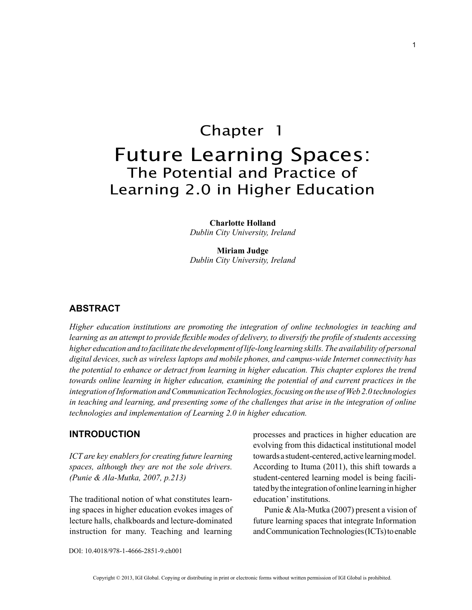# Chapter 1 Future Learning Spaces: The Potential and Practice of Learning 2.0 in Higher Education

**Charlotte Holland** *Dublin City University, Ireland*

**Miriam Judge** *Dublin City University, Ireland*

## **ABSTRACT**

*Higher education institutions are promoting the integration of online technologies in teaching and learning as an attempt to provide flexible modes of delivery, to diversify the profile of students accessing*  higher education and to facilitate the development of life-long learning skills. The availability of personal *digital devices, such as wireless laptops and mobile phones, and campus-wide Internet connectivity has the potential to enhance or detract from learning in higher education. This chapter explores the trend towards online learning in higher education, examining the potential of and current practices in the integration of Information and Communication Technologies, focusing on the use of Web 2.0 technologies in teaching and learning, and presenting some of the challenges that arise in the integration of online technologies and implementation of Learning 2.0 in higher education.*

## **INTRODUCTION**

*ICT are key enablers for creating future learning spaces, although they are not the sole drivers. (Punie & Ala-Mutka, 2007, p.213)* 

The traditional notion of what constitutes learning spaces in higher education evokes images of lecture halls, chalkboards and lecture-dominated instruction for many. Teaching and learning processes and practices in higher education are evolving from this didactical institutional model towards a student-centered, active learning model. According to Ituma (2011), this shift towards a student-centered learning model is being facilitated by the integration of online learning in higher education' institutions.

Punie & Ala-Mutka (2007) present a vision of future learning spaces that integrate Information and Communication Technologies (ICTs) to enable

DOI: 10.4018/978-1-4666-2851-9.ch001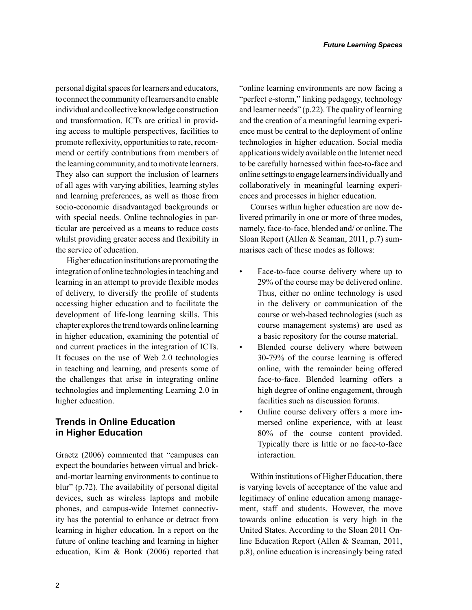personal digital spaces for learners and educators, to connect the community of learners and to enable individual and collective knowledge construction and transformation. ICTs are critical in providing access to multiple perspectives, facilities to promote reflexivity, opportunities to rate, recommend or certify contributions from members of the learning community, and to motivate learners. They also can support the inclusion of learners of all ages with varying abilities, learning styles and learning preferences, as well as those from socio-economic disadvantaged backgrounds or with special needs. Online technologies in particular are perceived as a means to reduce costs whilst providing greater access and flexibility in the service of education.

Higher education institutions are promoting the integration of online technologies in teaching and learning in an attempt to provide flexible modes of delivery, to diversify the profile of students accessing higher education and to facilitate the development of life-long learning skills. This chapter explores the trend towards online learning in higher education, examining the potential of and current practices in the integration of ICTs. It focuses on the use of Web 2.0 technologies in teaching and learning, and presents some of the challenges that arise in integrating online technologies and implementing Learning 2.0 in higher education.

# **Trends in Online Education in Higher Education**

Graetz (2006) commented that "campuses can expect the boundaries between virtual and brickand-mortar learning environments to continue to blur" (p.72). The availability of personal digital devices, such as wireless laptops and mobile phones, and campus-wide Internet connectivity has the potential to enhance or detract from learning in higher education. In a report on the future of online teaching and learning in higher education, Kim & Bonk (2006) reported that "online learning environments are now facing a "perfect e-storm," linking pedagogy, technology and learner needs" (p.22). The quality of learning and the creation of a meaningful learning experience must be central to the deployment of online technologies in higher education. Social media applications widely available on the Internet need to be carefully harnessed within face-to-face and online settings to engage learners individually and collaboratively in meaningful learning experiences and processes in higher education.

Courses within higher education are now delivered primarily in one or more of three modes, namely, face-to-face, blended and/ or online. The Sloan Report (Allen & Seaman, 2011, p.7) summarises each of these modes as follows:

- Face-to-face course delivery where up to 29% of the course may be delivered online. Thus, either no online technology is used in the delivery or communication of the course or web-based technologies (such as course management systems) are used as a basic repository for the course material.
- Blended course delivery where between 30-79% of the course learning is offered online, with the remainder being offered face-to-face. Blended learning offers a high degree of online engagement, through facilities such as discussion forums.
- Online course delivery offers a more immersed online experience, with at least 80% of the course content provided. Typically there is little or no face-to-face interaction.

Within institutions of Higher Education, there is varying levels of acceptance of the value and legitimacy of online education among management, staff and students. However, the move towards online education is very high in the United States. According to the Sloan 2011 Online Education Report (Allen & Seaman, 2011, p.8), online education is increasingly being rated